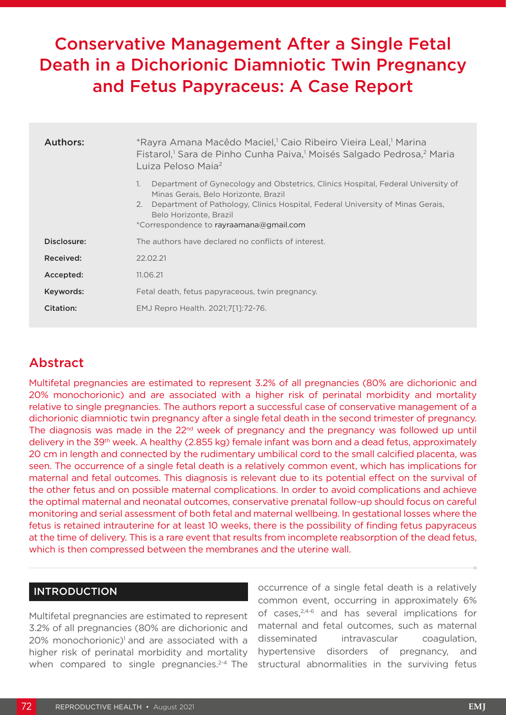# Conservative Management After a Single Fetal Death in a Dichorionic Diamniotic Twin Pregnancy and Fetus Papyraceus: A Case Report

| Authors:    | *Rayra Amana Macêdo Maciel, <sup>1</sup> Caio Ribeiro Vieira Leal, <sup>1</sup> Marina<br>Fistarol, <sup>1</sup> Sara de Pinho Cunha Paiva, <sup>1</sup> Moisés Salgado Pedrosa, <sup>2</sup> Maria<br>Luiza Peloso Maia <sup>2</sup>                                                       |
|-------------|---------------------------------------------------------------------------------------------------------------------------------------------------------------------------------------------------------------------------------------------------------------------------------------------|
|             | Department of Gynecology and Obstetrics, Clinics Hospital, Federal University of<br>1.<br>Minas Gerais, Belo Horizonte, Brazil<br>Department of Pathology, Clinics Hospital, Federal University of Minas Gerais,<br>2.<br>Belo Horizonte, Brazil<br>*Correspondence to rayraamana@gmail.com |
| Disclosure: | The authors have declared no conflicts of interest.                                                                                                                                                                                                                                         |
| Received:   | 22.02.21                                                                                                                                                                                                                                                                                    |
| Accepted:   | 11.06.21                                                                                                                                                                                                                                                                                    |
| Keywords:   | Fetal death, fetus papyraceous, twin pregnancy.                                                                                                                                                                                                                                             |
| Citation:   | EMJ Repro Health. 2021;7[1]:72-76.                                                                                                                                                                                                                                                          |

## Abstract

Multifetal pregnancies are estimated to represent 3.2% of all pregnancies (80% are dichorionic and 20% monochorionic) and are associated with a higher risk of perinatal morbidity and mortality relative to single pregnancies. The authors report a successful case of conservative management of a dichorionic diamniotic twin pregnancy after a single fetal death in the second trimester of pregnancy. The diagnosis was made in the 22<sup>nd</sup> week of pregnancy and the pregnancy was followed up until delivery in the 39<sup>th</sup> week. A healthy (2.855 kg) female infant was born and a dead fetus, approximately 20 cm in length and connected by the rudimentary umbilical cord to the small calcified placenta, was seen. The occurrence of a single fetal death is a relatively common event, which has implications for maternal and fetal outcomes. This diagnosis is relevant due to its potential effect on the survival of the other fetus and on possible maternal complications. In order to avoid complications and achieve the optimal maternal and neonatal outcomes, conservative prenatal follow-up should focus on careful monitoring and serial assessment of both fetal and maternal wellbeing. In gestational losses where the fetus is retained intrauterine for at least 10 weeks, there is the possibility of finding fetus papyraceus at the time of delivery. This is a rare event that results from incomplete reabsorption of the dead fetus, which is then compressed between the membranes and the uterine wall.

### INTRODUCTION

Multifetal pregnancies are estimated to represent 3.2% of all pregnancies (80% are dichorionic and  $20\%$  monochorionic)<sup>1</sup> and are associated with a higher risk of perinatal morbidity and mortality when compared to single pregnancies.<sup>2-4</sup> The

occurrence of a single fetal death is a relatively common event, occurring in approximately 6% of cases,<sup>2,4-6</sup> and has several implications for maternal and fetal outcomes, such as maternal disseminated intravascular coagulation, hypertensive disorders of pregnancy, and structural abnormalities in the surviving fetus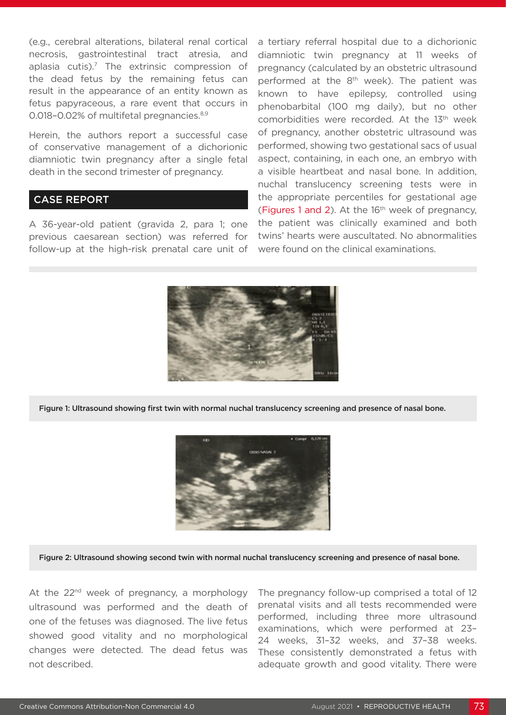(e.g., cerebral alterations, bilateral renal cortical necrosis, gastrointestinal tract atresia, and aplasia cutis).<sup>7</sup> The extrinsic compression of the dead fetus by the remaining fetus can result in the appearance of an entity known as fetus papyraceous, a rare event that occurs in 0.018-0.02% of multifetal pregnancies.<sup>8,9</sup>

Herein, the authors report a successful case of conservative management of a dichorionic diamniotic twin pregnancy after a single fetal death in the second trimester of pregnancy.

#### CASE REPORT

A 36-year-old patient (gravida 2, para 1; one previous caesarean section) was referred for follow-up at the high-risk prenatal care unit of

a tertiary referral hospital due to a dichorionic diamniotic twin pregnancy at 11 weeks of pregnancy (calculated by an obstetric ultrasound performed at the 8<sup>th</sup> week). The patient was known to have epilepsy, controlled using phenobarbital (100 mg daily), but no other comorbidities were recorded. At the 13th week of pregnancy, another obstetric ultrasound was performed, showing two gestational sacs of usual aspect, containing, in each one, an embryo with a visible heartbeat and nasal bone. In addition, nuchal translucency screening tests were in the appropriate percentiles for gestational age (Figures 1 and 2). At the 16<sup>th</sup> week of pregnancy, the patient was clinically examined and both twins' hearts were auscultated. No abnormalities were found on the clinical examinations.



Figure 1: Ultrasound showing first twin with normal nuchal translucency screening and presence of nasal bone.



Figure 2: Ultrasound showing second twin with normal nuchal translucency screening and presence of nasal bone.

At the  $22<sup>nd</sup>$  week of pregnancy, a morphology ultrasound was performed and the death of one of the fetuses was diagnosed. The live fetus showed good vitality and no morphological changes were detected. The dead fetus was not described.

The pregnancy follow-up comprised a total of 12 prenatal visits and all tests recommended were performed, including three more ultrasound examinations, which were performed at 23– 24 weeks, 31–32 weeks, and 37–38 weeks. These consistently demonstrated a fetus with adequate growth and good vitality. There were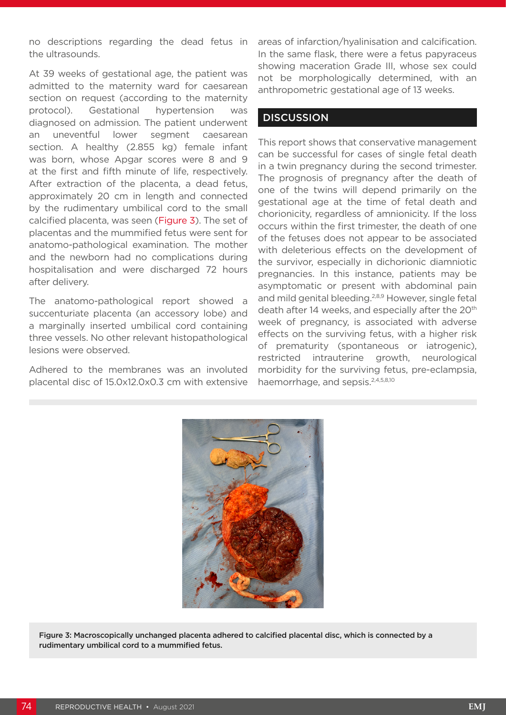no descriptions regarding the dead fetus in the ultrasounds.

At 39 weeks of gestational age, the patient was admitted to the maternity ward for caesarean section on request (according to the maternity protocol). Gestational hypertension was diagnosed on admission. The patient underwent an uneventful lower segment caesarean section. A healthy (2.855 kg) female infant was born, whose Apgar scores were 8 and 9 at the first and fifth minute of life, respectively. After extraction of the placenta, a dead fetus, approximately 20 cm in length and connected by the rudimentary umbilical cord to the small calcified placenta, was seen (Figure 3). The set of placentas and the mummified fetus were sent for anatomo-pathological examination. The mother and the newborn had no complications during hospitalisation and were discharged 72 hours after delivery.

The anatomo-pathological report showed a succenturiate placenta (an accessory lobe) and a marginally inserted umbilical cord containing three vessels. No other relevant histopathological lesions were observed.

Adhered to the membranes was an involuted placental disc of 15.0x12.0x0.3 cm with extensive areas of infarction/hyalinisation and calcification. In the same flask, there were a fetus papyraceus showing maceration Grade III, whose sex could not be morphologically determined, with an anthropometric gestational age of 13 weeks.

#### **DISCUSSION**

This report shows that conservative management can be successful for cases of single fetal death in a twin pregnancy during the second trimester. The prognosis of pregnancy after the death of one of the twins will depend primarily on the gestational age at the time of fetal death and chorionicity, regardless of amnionicity. If the loss occurs within the first trimester, the death of one of the fetuses does not appear to be associated with deleterious effects on the development of the survivor, especially in dichorionic diamniotic pregnancies. In this instance, patients may be asymptomatic or present with abdominal pain and mild genital bleeding.<sup>2,8,9</sup> However, single fetal death after 14 weeks, and especially after the 20<sup>th</sup> week of pregnancy, is associated with adverse effects on the surviving fetus, with a higher risk of prematurity (spontaneous or iatrogenic), restricted intrauterine growth, neurological morbidity for the surviving fetus, pre-eclampsia, haemorrhage, and sepsis.<sup>2,4,5,8,10</sup>



Figure 3: Macroscopically unchanged placenta adhered to calcified placental disc, which is connected by a rudimentary umbilical cord to a mummified fetus.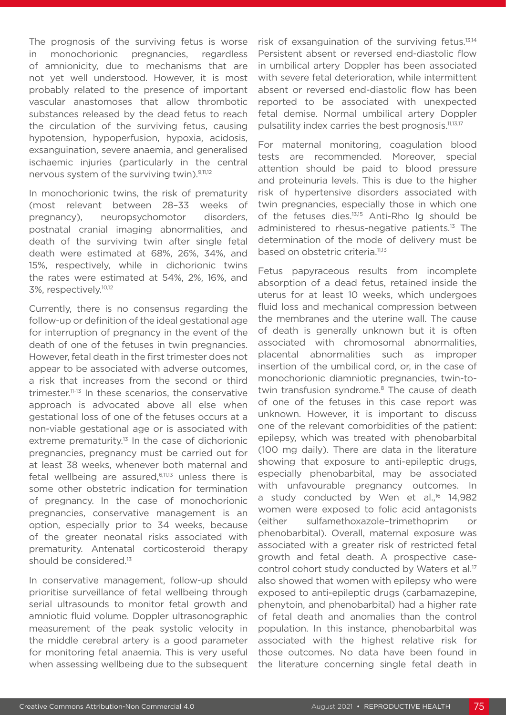The prognosis of the surviving fetus is worse in monochorionic pregnancies, regardless of amnionicity, due to mechanisms that are not yet well understood. However, it is most probably related to the presence of important vascular anastomoses that allow thrombotic substances released by the dead fetus to reach the circulation of the surviving fetus, causing hypotension, hypoperfusion, hypoxia, acidosis, exsanguination, severe anaemia, and generalised ischaemic injuries (particularly in the central nervous system of the surviving twin).9,11,12

In monochorionic twins, the risk of prematurity (most relevant between 28–33 weeks of pregnancy), neuropsychomotor disorders, postnatal cranial imaging abnormalities, and death of the surviving twin after single fetal death were estimated at 68%, 26%, 34%, and 15%, respectively, while in dichorionic twins the rates were estimated at 54%, 2%, 16%, and 3%, respectively.10,12

Currently, there is no consensus regarding the follow-up or definition of the ideal gestational age for interruption of pregnancy in the event of the death of one of the fetuses in twin pregnancies. However, fetal death in the first trimester does not appear to be associated with adverse outcomes, a risk that increases from the second or third trimester.11-13 In these scenarios, the conservative approach is advocated above all else when gestational loss of one of the fetuses occurs at a non-viable gestational age or is associated with extreme prematurity.<sup>13</sup> In the case of dichorionic pregnancies, pregnancy must be carried out for at least 38 weeks, whenever both maternal and fetal wellbeing are assured,6,11,13 unless there is some other obstetric indication for termination of pregnancy. In the case of monochorionic pregnancies, conservative management is an option, especially prior to 34 weeks, because of the greater neonatal risks associated with prematurity. Antenatal corticosteroid therapy should be considered.<sup>13</sup>

In conservative management, follow-up should prioritise surveillance of fetal wellbeing through serial ultrasounds to monitor fetal growth and amniotic fluid volume. Doppler ultrasonographic measurement of the peak systolic velocity in the middle cerebral artery is a good parameter for monitoring fetal anaemia. This is very useful when assessing wellbeing due to the subsequent

risk of exsanguination of the surviving fetus.13,14 Persistent absent or reversed end-diastolic flow in umbilical artery Doppler has been associated with severe fetal deterioration, while intermittent absent or reversed end-diastolic flow has been reported to be associated with unexpected fetal demise. Normal umbilical artery Doppler pulsatility index carries the best prognosis.<sup>11,13,17</sup>

For maternal monitoring, coagulation blood tests are recommended. Moreover, special attention should be paid to blood pressure and proteinuria levels. This is due to the higher risk of hypertensive disorders associated with twin pregnancies, especially those in which one of the fetuses dies.13,15 Anti-Rho Ig should be administered to rhesus-negative patients.<sup>13</sup> The determination of the mode of delivery must be based on obstetric criteria.<sup>11,13</sup>

Fetus papyraceous results from incomplete absorption of a dead fetus, retained inside the uterus for at least 10 weeks, which undergoes fluid loss and mechanical compression between the membranes and the uterine wall. The cause of death is generally unknown but it is often associated with chromosomal abnormalities, placental abnormalities such as improper insertion of the umbilical cord, or, in the case of monochorionic diamniotic pregnancies, twin-totwin transfusion syndrome.<sup>8</sup> The cause of death of one of the fetuses in this case report was unknown. However, it is important to discuss one of the relevant comorbidities of the patient: epilepsy, which was treated with phenobarbital (100 mg daily). There are data in the literature showing that exposure to anti-epileptic drugs, especially phenobarbital, may be associated with unfavourable pregnancy outcomes. In a study conducted by Wen et al.<sup>16</sup> 14,982 women were exposed to folic acid antagonists (either sulfamethoxazole–trimethoprim or phenobarbital). Overall, maternal exposure was associated with a greater risk of restricted fetal growth and fetal death. A prospective casecontrol cohort study conducted by Waters et al.<sup>17</sup> also showed that women with epilepsy who were exposed to anti-epileptic drugs (carbamazepine, phenytoin, and phenobarbital) had a higher rate of fetal death and anomalies than the control population. In this instance, phenobarbital was associated with the highest relative risk for those outcomes. No data have been found in the literature concerning single fetal death in